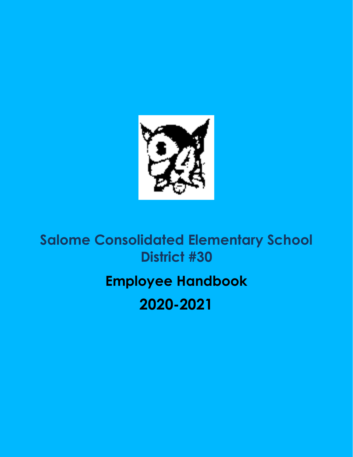

# **Salome Consolidated Elementary School District #30**

# **Employee Handbook**

# **2020-2021**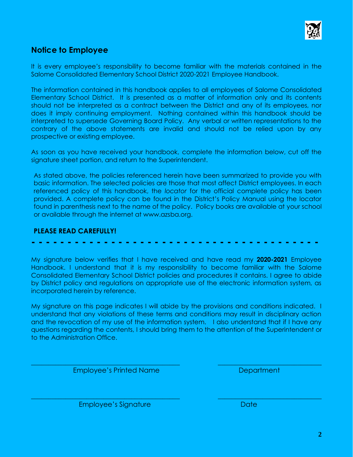

# **Notice to Employee**

It is every employee's responsibility to become familiar with the materials contained in the Salome Consolidated Elementary School District 2020-2021 Employee Handbook.

The information contained in this handbook applies to all employees of Salome Consolidated Elementary School District. It is presented as a matter of information only and its contents should not be interpreted as a contract between the District and any of its employees, nor does it imply continuing employment. Nothing contained within this handbook should be interpreted to supersede Governing Board Policy. Any verbal or written representations to the contrary of the above statements are invalid and should not be relied upon by any prospective or existing employee.

As soon as you have received your handbook, complete the information below, cut off the signature sheet portion, and return to the Superintendent.

As stated above, the policies referenced herein have been summarized to provide you with basic information. The selected policies are those that most affect District employees. In each referenced policy of this handbook, the *locator* for the official complete policy has been provided. A complete policy can be found in the District's Policy Manual using the locator found in parenthesis next to the name of the policy. Policy books are available at your school or available through the internet at www.azsba.org.

# **PLEASE READ CAREFULLY!**

# **- - - - - - - - - - - - - - - - - - - - - - - - - - - - - - - - - - - - - - - -**

My signature below verifies that I have received and have read my **2020-2021** Employee Handbook. I understand that it is my responsibility to become familiar with the Salome Consolidated Elementary School District policies and procedures it contains. I agree to abide by District policy and regulations on appropriate use of the electronic information system, as incorporated herein by reference.

My signature on this page indicates I will abide by the provisions and conditions indicated. I understand that any violations of these terms and conditions may result in disciplinary action and the revocation of my use of the information system. I also understand that if I have any questions regarding the contents, I should bring them to the attention of the Superintendent or to the Administration Office.

**\_\_\_\_\_\_\_\_\_\_\_\_\_\_\_\_\_\_\_\_\_\_\_\_\_\_\_\_\_\_\_\_\_\_\_\_\_\_\_\_\_\_\_ \_\_\_\_\_\_\_\_\_\_\_\_\_\_\_\_\_\_\_\_\_\_\_\_\_\_\_\_\_\_**

**\_\_\_\_\_\_\_\_\_\_\_\_\_\_\_\_\_\_\_\_\_\_\_\_\_\_\_\_\_\_\_\_\_\_\_\_\_\_\_\_\_\_\_ \_\_\_\_\_\_\_\_\_\_\_\_\_\_\_\_\_\_\_\_\_\_\_\_\_\_\_\_\_\_**

Employee's Printed Name Department

Employee's Signature Date Date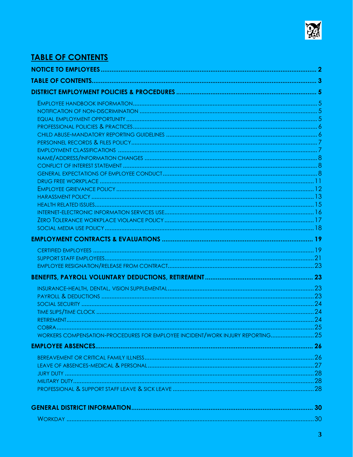

# **TABLE OF CONTENTS**

| WORKERS COMPENSATION-PROCEDURES FOR EMPLOYEE INCIDENT/WORK INJURY REPORTING 25 |  |
|--------------------------------------------------------------------------------|--|
|                                                                                |  |
|                                                                                |  |
|                                                                                |  |
|                                                                                |  |
|                                                                                |  |
|                                                                                |  |
|                                                                                |  |
|                                                                                |  |
|                                                                                |  |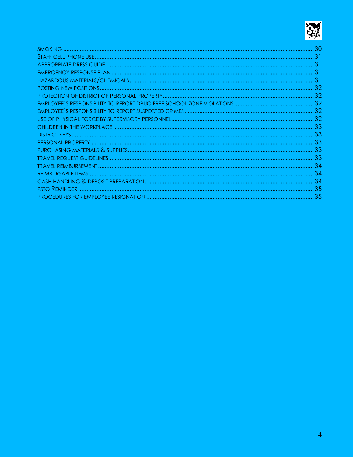

| .31 |
|-----|
|     |
|     |
|     |
|     |
|     |
|     |
|     |
|     |
|     |
|     |
|     |
|     |
|     |
|     |
|     |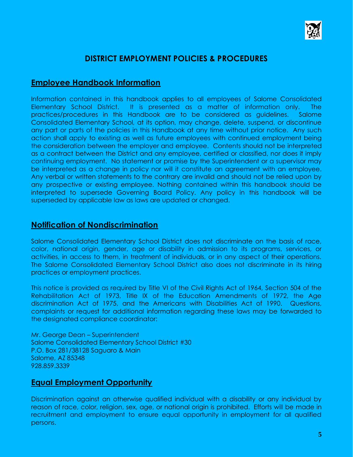

# **DISTRICT EMPLOYMENT POLICIES & PROCEDURES**

# **Employee Handbook Information**

Information contained in this handbook applies to all employees of Salome Consolidated Elementary School District. It is presented as a matter of information only. The practices/procedures in this Handbook are to be considered as guidelines. Salome Consolidated Elementary School, at its option, may change, delete, suspend, or discontinue any part or parts of the policies in this Handbook at any time without prior notice. Any such action shall apply to existing as well as future employees with continued employment being the consideration between the employer and employee. Contents should not be interpreted as a contract between the District and any employee, certified or classified, nor does it imply continuing employment. No statement or promise by the Superintendent or a supervisor may be interpreted as a change in policy nor will it constitute an agreement with an employee. Any verbal or written statements to the contrary are invalid and should not be relied upon by any prospective or existing employee. Nothing contained within this handbook should be interpreted to supersede Governing Board Policy. Any policy in this handbook will be superseded by applicable law as laws are updated or changed.

# **Notification of Nondiscrimination**

Salome Consolidated Elementary School District does not discriminate on the basis of race, color, national origin, gender, age or disability in admission to its programs, services, or activities, in access to them, in treatment of individuals, or in any aspect of their operations. The Salome Consolidated Elementary School District also does not discriminate in its hiring practices or employment practices.

This notice is provided as required by Title VI of the Civil Rights Act of 1964, Section 504 of the Rehabilitation Act of 1973, Title IX of the Education Amendments of 1972, the Age discrimination Act of 1975, and the Americans with Disabilities Act of 1990. Questions, complaints or request for additional information regarding these laws may be forwarded to the designated compliance coordinator:

Mr. George Dean – Superintendent Salome Consolidated Elementary School District #30 P.O. Box 281/38128 Saguaro & Main Salome, AZ 85348 928.859.3339

# **Equal Employment Opportunity**

Discrimination against an otherwise qualified individual with a disability or any individual by reason of race, color, religion, sex, age, or national origin is prohibited. Efforts will be made in recruitment and employment to ensure equal opportunity in employment for all qualified persons.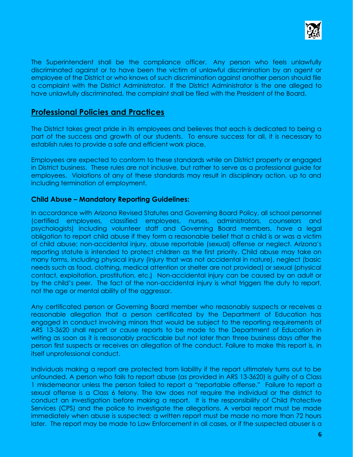

The Superintendent shall be the compliance officer. Any person who feels unlawfully discriminated against or to have been the victim of unlawful discrimination by an agent or employee of the District or who knows of such discrimination against another person should file a complaint with the District Administrator. If the District Administrator is the one alleged to have unlawfully discriminated, the complaint shall be filed with the President of the Board.

# **Professional Policies and Practices**

The District takes great pride in its employees and believes that each is dedicated to being a part of the success and growth of our students. To ensure success for all, it is necessary to establish rules to provide a safe and efficient work place.

Employees are expected to conform to these standards while on District property or engaged in District business. These rules are not inclusive, but rather to serve as a professional guide for employees. Violations of any of these standards may result in disciplinary action, up to and including termination of employment.

# **Child Abuse – Mandatory Reporting Guidelines:**

In accordance with Arizona Revised Statutes and Governing Board Policy, all school personnel (certified employees, classified employees, nurses, administrators, counselors psychologists) including volunteer staff and Governing Board members, have a legal obligation to report child abuse if they form a reasonable belief that a child is or was a victim of child abuse; non-accidental injury, abuse reportable (sexual) offense or neglect. Arizona's reporting statute is intended to protect children as the first priority. Child abuse may take on many forms, including physical injury (injury that was not accidental in nature), neglect (basic needs such as food, clothing, medical attention or shelter are not provided) or sexual (physical contact, exploitation, prostitution, etc.) Non-accidental injury can be caused by an adult or by the child's peer. The fact of the non-accidental injury is what triggers the duty to report, not the age or mental ability of the aggressor.

Any certificated person or Governing Board member who reasonably suspects or receives a reasonable allegation that a person certificated by the Department of Education has engaged in conduct involving minors that would be subject to the reporting requirements of ARS 13-3620 shall report or cause reports to be made to the Department of Education in writing as soon as it is reasonably practicable but not later than three business days after the person first suspects or receives an allegation of the conduct. Failure to make this report is, in itself unprofessional conduct.

Individuals making a report are protected from liability if the report ultimately turns out to be unfounded. A person who fails to report abuse (as provided in ARS 13-3620) is guilty of a Class 1 misdemeanor unless the person failed to report a "reportable offense." Failure to report a sexual offense is a Class 6 felony. The law does not require the individual or the district to conduct an investigation before making a report. It is the responsibility of Child Protective Services (CPS) and the police to investigate the allegations. A verbal report must be made immediately when abuse is suspected; a written report must be made no more than 72 hours later. The report may be made to Law Enforcement in all cases, or if the suspected abuser is a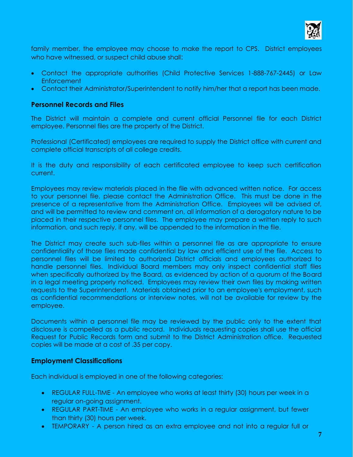

family member, the employee may choose to make the report to CPS. District employees who have witnessed, or suspect child abuse shall:

- Contact the appropriate authorities (Child Protective Services 1-888-767-2445) or Law Enforcement
- Contact their Administrator/Superintendent to notify him/her that a report has been made.

# **Personnel Records and Files**

The District will maintain a complete and current official Personnel file for each District employee. Personnel files are the property of the District.

Professional (Certificated) employees are required to supply the District office with current and complete official transcripts of all college credits.

It is the duty and responsibility of each certificated employee to keep such certification current.

Employees may review materials placed in the file with advanced written notice. For access to your personnel file, please contact the Administration Office. This must be done in the presence of a representative from the Administration Office. Employees will be advised of, and will be permitted to review and comment on, all information of a derogatory nature to be placed in their respective personnel files. The employee may prepare a written reply to such information, and such reply, if any, will be appended to the information in the file.

The District may create such sub-files within a personnel file as are appropriate to ensure confidentiality of those files made confidential by law and efficient use of the file. Access to personnel files will be limited to authorized District officials and employees authorized to handle personnel files. Individual Board members may only inspect confidential staff files when specifically authorized by the Board, as evidenced by action of a quorum of the Board in a legal meeting properly noticed. Employees may review their own files by making written requests to the Superintendent. Materials obtained prior to an employee's employment, such as confidential recommendations or interview notes, will not be available for review by the employee.

Documents within a personnel file may be reviewed by the public only to the extent that disclosure is compelled as a public record. Individuals requesting copies shall use the official Request for Public Records form and submit to the District Administration office. Requested copies will be made at a cost of .35 per copy.

# **Employment Classifications**

Each individual is employed in one of the following categories:

- REGULAR FULL-TIME An employee who works at least thirty (30) hours per week in a regular on-going assignment.
- REGULAR PART-TIME An employee who works in a regular assignment, but fewer than thirty (30) hours per week.
- TEMPORARY A person hired as an extra employee and not into a regular full or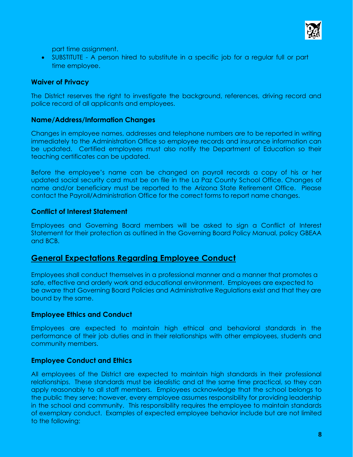

part time assignment.

• SUBSTITUTE - A person hired to substitute in a specific job for a regular full or part time employee.

# **Waiver of Privacy**

The District reserves the right to investigate the background, references, driving record and police record of all applicants and employees.

# **Name/Address/Information Changes**

Changes in employee names, addresses and telephone numbers are to be reported in writing immediately to the Administration Office so employee records and insurance information can be updated. Certified employees must also notify the Department of Education so their teaching certificates can be updated.

Before the employee's name can be changed on payroll records a copy of his or her updated social security card must be on file in the La Paz County School Office. Changes of name and/or beneficiary must be reported to the Arizona State Retirement Office. Please contact the Payroll/Administration Office for the correct forms to report name changes.

# **Conflict of Interest Statement**

Employees and Governing Board members will be asked to sign a Conflict of Interest Statement for their protection as outlined in the Governing Board Policy Manual, policy GBEAA and BCB.

# **General Expectations Regarding Employee Conduct**

Employees shall conduct themselves in a professional manner and a manner that promotes a safe, effective and orderly work and educational environment. Employees are expected to be aware that Governing Board Policies and Administrative Regulations exist and that they are bound by the same.

# **Employee Ethics and Conduct**

Employees are expected to maintain high ethical and behavioral standards in the performance of their job duties and in their relationships with other employees, students and community members.

# **Employee Conduct and Ethics**

All employees of the District are expected to maintain high standards in their professional relationships. These standards must be idealistic and at the same time practical, so they can apply reasonably to all staff members. Employees acknowledge that the school belongs to the public they serve; however, every employee assumes responsibility for providing leadership in the school and community. This responsibility requires the employee to maintain standards of exemplary conduct. Examples of expected employee behavior include but are not limited to the following: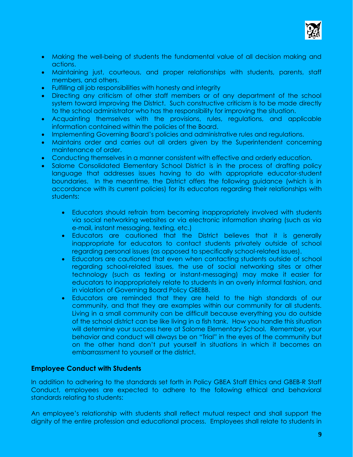

- Making the well-being of students the fundamental value of all decision making and actions.
- Maintaining just, courteous, and proper relationships with students, parents, staff members, and others.
- Fulfilling all job responsibilities with honesty and integrity
- Directing any criticism of other staff members or of any department of the school system toward improving the District. Such constructive criticism is to be made directly to the school administrator who has the responsibility for improving the situation.
- Acquainting themselves with the provisions, rules, regulations, and applicable information contained within the policies of the Board.
- Implementing Governing Board's policies and administrative rules and regulations.
- Maintains order and carries out all orders given by the Superintendent concerning maintenance of order.
- Conducting themselves in a manner consistent with effective and orderly education.
- Salome Consolidated Elementary School District is in the process of drafting policy language that addresses issues having to do with appropriate educator-student boundaries. In the meantime, the District offers the following guidance (which is in accordance with its current policies) for its educators regarding their relationships with students:
	- Educators should refrain from becoming inappropriately involved with students via social networking websites or via electronic information sharing (such as via e-mail, instant messaging, texting, etc.)
	- Educators are cautioned that the District believes that it is generally inappropriate for educators to contact students privately outside of school regarding personal issues (as opposed to specifically school-related issues).
	- Educators are cautioned that even when contacting students outside of school regarding school-related issues, the use of social networking sites or other technology (such as texting or instant-messaging) may make it easier for educators to inappropriately relate to students in an overly informal fashion, and in violation of Governing Board Policy GBEBB.
	- Educators are reminded that they are held to the high standards of our community, and that they are examples within our community for all students. Living in a small community can be difficult because everything you do outside of the school district can be like living in a fish tank. How you handle this situation will determine your success here at Salome Elementary School. Remember, your behavior and conduct will always be on "Trial" in the eyes of the community but on the other hand don't put yourself in situations in which it becomes an embarrassment to yourself or the district.

#### **Employee Conduct with Students**

In addition to adhering to the standards set forth in Policy GBEA Staff Ethics and GBEB-R Staff Conduct, employees are expected to adhere to the following ethical and behavioral standards relating to students:

An employee's relationship with students shall reflect mutual respect and shall support the dignity of the entire profession and educational process. Employees shall relate to students in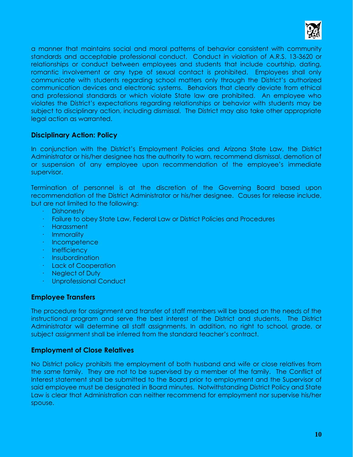

a manner that maintains social and moral patterns of behavior consistent with community standards and acceptable professional conduct. Conduct in violation of A.R.S. 13-3620 or relationships or conduct between employees and students that include courtship, dating, romantic involvement or any type of sexual contact is prohibited. Employees shall only communicate with students regarding school matters only through the District's authorized communication devices and electronic systems. Behaviors that clearly deviate from ethical and professional standards or which violate State law are prohibited. An employee who violates the District's expectations regarding relationships or behavior with students may be subject to disciplinary action, including dismissal. The District may also take other appropriate legal action as warranted.

# **Disciplinary Action: Policy**

In conjunction with the District's Employment Policies and Arizona State Law, the District Administrator or his/her designee has the authority to warn, recommend dismissal, demotion of or suspension of any employee upon recommendation of the employee's immediate supervisor.

Termination of personnel is at the discretion of the Governing Board based upon recommendation of the District Administrator or his/her designee. Causes for release include, but are not limited to the following:

- · Dishonesty
- · Failure to obey State Law, Federal Law or District Policies and Procedures
- · Harassment
- · Immorality
- · Incompetence
- · Inefficiency
- · Insubordination
- · Lack of Cooperation
- · Neglect of Duty
- · Unprofessional Conduct

# **Employee Transfers**

The procedure for assignment and transfer of staff members will be based on the needs of the instructional program and serve the best interest of the District and students. The District Administrator will determine all staff assignments. In addition, no right to school, grade, or subject assignment shall be inferred from the standard teacher's contract.

# **Employment of Close Relatives**

No District policy prohibits the employment of both husband and wife or close relatives from the same family. They are not to be supervised by a member of the family. The Conflict of Interest statement shall be submitted to the Board prior to employment and the Supervisor of said employee must be designated in Board minutes. Notwithstanding District Policy and State Law is clear that Administration can neither recommend for employment nor supervise his/her spouse.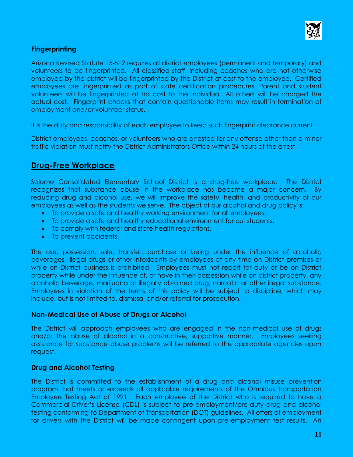

# **Fingerprinting**

Arizona Revised Statute 15-512 requires all district employees (permanent and temporary) and volunteers to be fingerprinted. All classified staff, including coaches who are not otherwise employed by the district will be fingerprinted by the District at cost to the employee. Certified employees are fingerprinted as part of state certification procedures. Parent and student volunteers will be fingerprinted at no cost to the individual. All others will be charged the actual cost. Fingerprint checks that contain questionable items may result in termination of employment and/or volunteer status.

It is the duty and responsibility of each employee to keep such fingerprint clearance current.

District employees, coaches, or volunteers who are arrested for any offense other than a minor traffic violation must notify the District Administrators Office within 24 hours of the arrest.

# **Drug-Free Workplace**

Salome Consolidated Elementary School District is a drug-free workplace. The District recognizes that substance abuse in the workplace has become a major concern. By reducing drug and alcohol use, we will improve the safety, health, and productivity of our employees as well as the students we serve. The object of our alcohol and drug policy is:

- To provide a safe and healthy working environment for all employees.
- To provide a safe and healthy educational environment for our students.
- To comply with federal and state health regulations.
- To prevent accidents.

The use, possession, sale, transfer, purchase or being under the influence of alcoholic beverages, illegal drugs or other intoxicants by employees at any time on District premises or while on District business is prohibited. Employees must not report for duty or be on District property while under the influence of, or have in their possession while on district property, any alcoholic beverage, marijuana or illegally obtained drug, narcotic or other illegal substance. Employees in violation of the terms of this policy will be subject to discipline, which may include, but is not limited to, dismissal and/or referral for prosecution.

# **Non-Medical Use of Abuse of Drugs or Alcohol**

The District will approach employees who are engaged in the non-medical use of drugs and/or the abuse of alcohol in a constructive, supportive manner. Employees seeking assistance for substance abuse problems will be referred to the appropriate agencies upon request.

# **Drug and Alcohol Testing**

The District is committed to the establishment of a drug and alcohol misuse prevention program that meets or exceeds all applicable requirements of the Omnibus Transportation Employee Testing Act of 1991. Each employee of the District who is required to have a Commercial Driver's License (CDL) is subject to pre-employment/pre-duty drug and alcohol testing conforming to Department of Transportation (DOT) guidelines. All offers of employment for drivers with the District will be made contingent upon pre-employment test results. An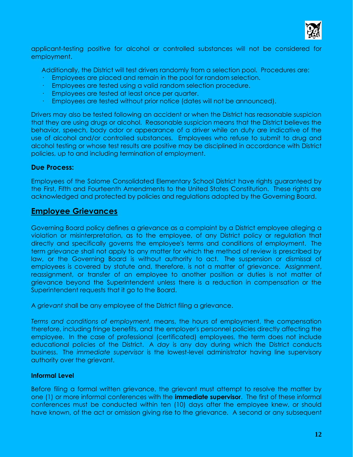

applicant-testing positive for alcohol or controlled substances will not be considered for employment.

Additionally, the District will test drivers randomly from a selection pool. Procedures are:

- Employees are placed and remain in the pool for random selection.
- · Employees are tested using a valid random selection procedure.
- Employees are tested at least once per quarter.
- · Employees are tested without prior notice (dates will not be announced).

Drivers may also be tested following an accident or when the District has reasonable suspicion that they are using drugs or alcohol. Reasonable suspicion means that the District believes the behavior, speech, body odor or appearance of a driver while on duty are indicative of the use of alcohol and/or controlled substances. Employees who refuse to submit to drug and alcohol testing or whose test results are positive may be disciplined in accordance with District policies, up to and including termination of employment.

# **Due Process:**

Employees of the Salome Consolidated Elementary School District have rights guaranteed by the First, Fifth and Fourteenth Amendments to the United States Constitution. These rights are acknowledged and protected by policies and regulations adopted by the Governing Board.

# **Employee Grievances**

Governing Board policy defines a grievance as a complaint by a District employee alleging a violation or misinterpretation, as to the employee, of any District policy or regulation that directly and specifically governs the employee's terms and conditions of employment. The term *grievance* shall not apply to any matter for which the method of review is prescribed by law, or the Governing Board is without authority to act. The suspension or dismissal of employees is covered by statute and, therefore, is not a matter of grievance. Assignment, reassignment, or transfer of an employee to another position or duties is not matter of grievance beyond the Superintendent unless there is a reduction in compensation or the Superintendent requests that it go to the Board.

A *grievant* shall be any employee of the District filing a grievance.

*Terms and conditions of employment,* means, the hours of employment, the compensation therefore, including fringe benefits, and the employer's personnel policies directly affecting the employee. In the case of professional (certificated) employees, the term does not include educational policies of the District. A *day* is any day during which the District conducts business. The *immediate supervisor* is the lowest-level administrator having line supervisory authority over the grievant.

#### **Informal Level**

Before filing a formal written grievance, the grievant must attempt to resolve the matter by one (1) or more informal conferences with the **immediate supervisor**. The first of these informal conferences must be conducted within ten (10) days after the employee knew, or should have known, of the act or omission giving rise to the grievance. A second or any subsequent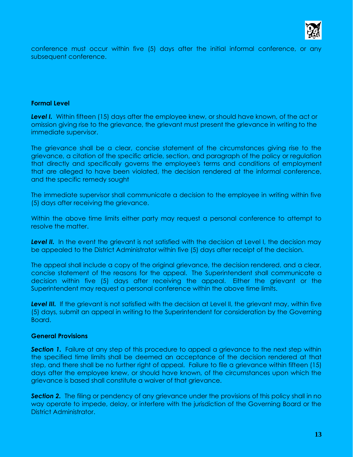

conference must occur within five (5) days after the initial informal conference, or any subsequent conference.

#### **Formal Level**

*Level I.* Within fifteen (15) days after the employee knew, or should have known, of the act or omission giving rise to the grievance, the grievant must present the grievance in writing to the immediate supervisor.

The grievance shall be a clear, concise statement of the circumstances giving rise to the grievance, a citation of the specific article, section, and paragraph of the policy or regulation that directly and specifically governs the employee's terms and conditions of employment that are alleged to have been violated, the decision rendered at the informal conference, and the specific remedy sought

The immediate supervisor shall communicate a decision to the employee in writing within five (5) days after receiving the grievance.

Within the above time limits either party may request a personal conference to attempt to resolve the matter.

**Level II.** In the event the grievant is not satisfied with the decision at Level I, the decision may be appealed to the District Administrator within five (5) days after receipt of the decision.

The appeal shall include a copy of the original grievance, the decision rendered, and a clear, concise statement of the reasons for the appeal. The Superintendent shall communicate a decision within five (5) days after receiving the appeal. Either the grievant or the Superintendent may request a personal conference within the above time limits.

Level III. If the grievant is not satisfied with the decision at Level II, the grievant may, within five (5) days, submit an appeal in writing to the Superintendent for consideration by the Governing Board.

#### **General Provisions**

**Section 1.** Failure at any step of this procedure to appeal a grievance to the next step within the specified time limits shall be deemed an acceptance of the decision rendered at that step, and there shall be no further right of appeal. Failure to file a grievance within fifteen (15) days after the employee knew, or should have known, of the circumstances upon which the grievance is based shall constitute a waiver of that grievance.

**Section 2.** The filing or pendency of any grievance under the provisions of this policy shall in no way operate to impede, delay, or interfere with the jurisdiction of the Governing Board or the District Administrator.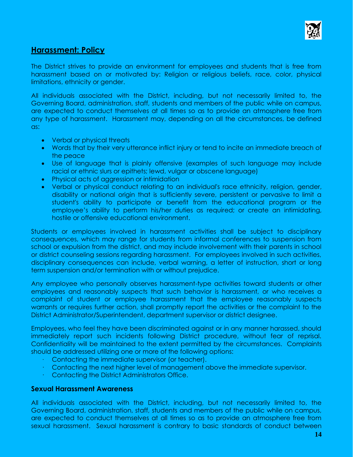

# **Harassment: Policy**

The District strives to provide an environment for employees and students that is free from harassment based on or motivated by: Religion or religious beliefs, race, color, physical limitations, ethnicity or gender.

All individuals associated with the District, including, but not necessarily limited to, the Governing Board, administration, staff, students and members of the public while on campus, are expected to conduct themselves at all times so as to provide an atmosphere free from any type of harassment. Harassment may, depending on all the circumstances, be defined as:

- Verbal or physical threats
- Words that by their very utterance inflict injury or tend to incite an immediate breach of the peace
- Use of language that is plainly offensive (examples of such language may include racial or ethnic slurs or epithets; lewd, vulgar or obscene language)
- Physical acts of aggression or intimidation
- Verbal or physical conduct relating to an individual's race ethnicity, religion, gender, disability or national origin that is sufficiently severe, persistent or pervasive to limit a student's ability to participate or benefit from the educational program or the employee's ability to perform his/her duties as required; or create an intimidating, hostile or offensive educational environment.

Students or employees involved in harassment activities shall be subject to disciplinary consequences, which may range for students from informal conferences to suspension from school or expulsion from the district, and may include involvement with their parents in school or district counseling sessions regarding harassment. For employees involved in such activities, disciplinary consequences can include, verbal warning, a letter of instruction, short or long term suspension and/or termination with or without prejudice.

Any employee who personally observes harassment-type activities toward students or other employees and reasonably suspects that such behavior is harassment, or who receives a complaint of student or employee harassment that the employee reasonably suspects warrants or requires further action, shall promptly report the activities or the complaint to the District Administrator/Superintendent, department supervisor or district designee.

Employees, who feel they have been discriminated against or in any manner harassed, should immediately report such incidents following District procedure, without fear of reprisal. Confidentiality will be maintained to the extent permitted by the circumstances. Complaints should be addressed utilizing one or more of the following options:

- · Contacting the immediate supervisor (or teacher).
- · Contacting the next higher level of management above the immediate supervisor.
- · Contacting the District Administrators Office.

#### **Sexual Harassment Awareness**

All individuals associated with the District, including, but not necessarily limited to, the Governing Board, administration, staff, students and members of the public while on campus, are expected to conduct themselves at all times so as to provide an atmosphere free from sexual harassment. Sexual harassment is contrary to basic standards of conduct between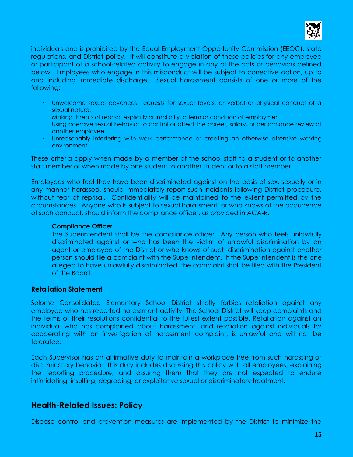

individuals and is prohibited by the Equal Employment Opportunity Commission (EEOC), state regulations, and District policy. It will constitute a violation of these policies for any employee or participant of a school-related activity to engage in any of the acts or behaviors defined below. Employees who engage in this misconduct will be subject to corrective action, up to and including immediate discharge. Sexual harassment consists of one or more of the following:

- · Unwelcome sexual advances, requests for sexual favors, or verbal or physical conduct of a sexual nature.
- · Making threats of reprisal explicitly or implicitly, a term or condition of employment.
- · Using coercive sexual behavior to control or affect the career, salary, or performance review of another employee.
- · Unreasonably interfering with work performance or creating an otherwise offensive working environment.

These criteria apply when made by a member of the school staff to a student or to another staff member or when made by one student to another student or to a staff member.

Employees who feel they have been discriminated against on the basis of sex, sexually or in any manner harassed, should immediately report such incidents following District procedure, without fear of reprisal. Confidentiality will be maintained to the extent permitted by the circumstances. Anyone who is subject to sexual harassment, or who knows of the occurrence of such conduct, should inform the compliance officer, as provided in ACA-R.

#### **Compliance Officer**

The Superintendent shall be the compliance officer. Any person who feels unlawfully discriminated against or who has been the victim of unlawful discrimination by an agent or employee of the District or who knows of such discrimination against another person should file a complaint with the Superintendent. If the Superintendent is the one alleged to have unlawfully discriminated, the complaint shall be filed with the President of the Board.

# **Retaliation Statement**

Salome Consolidated Elementary School District strictly forbids retaliation against any employee who has reported harassment activity. The School District will keep complaints and the terms of their resolutions confidential to the fullest extent possible. Retaliation against an individual who has complained about harassment, and retaliation against individuals for cooperating with an investigation of harassment complaint, is unlawful and will not be tolerated.

Each Supervisor has an affirmative duty to maintain a workplace free from such harassing or discriminatory behavior. This duty includes discussing this policy with all employees, explaining the reporting procedure, and assuring them that they are not expected to endure intimidating, insulting, degrading, or exploitative sexual or discriminatory treatment.

# **Health-Related Issues: Policy**

Disease control and prevention measures are implemented by the District to minimize the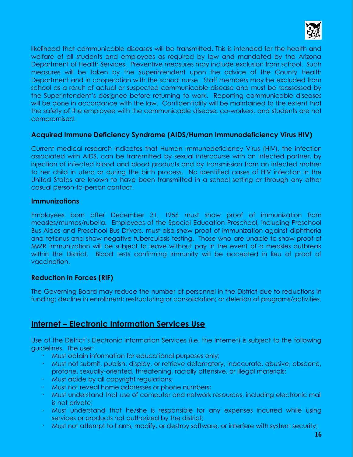

likelihood that communicable diseases will be transmitted. This is intended for the health and welfare of all students and employees as required by law and mandated by the Arizona Department of Health Services. Preventive measures may include exclusion from school. Such measures will be taken by the Superintendent upon the advice of the County Health Department and in cooperation with the school nurse. Staff members may be excluded from school as a result of actual or suspected communicable disease and must be reassessed by the Superintendent's designee before returning to work. Reporting communicable diseases will be done in accordance with the law. Confidentiality will be maintained to the extent that the safety of the employee with the communicable disease, co-workers, and students are not compromised.

# **Acquired Immune Deficiency Syndrome (AIDS/Human Immunodeficiency Virus HIV)**

Current medical research indicates that Human Immunodeficiency Virus (HIV), the infection associated with AIDS, can be transmitted by sexual intercourse with an infected partner, by injection of infected blood and blood products and by transmission from an infected mother to her child in utero or during the birth process. No identified cases of HIV infection in the United States are known to have been transmitted in a school setting or through any other casual person-to-person contact.

# **Immunizations**

Employees born after December 31, 1956 must show proof of immunization from measles/mumps/rubella. Employees of the Special Education Preschool, including Preschool Bus Aides and Preschool Bus Drivers, must also show proof of immunization against diphtheria and tetanus and show negative tuberculosis testing. Those who are unable to show proof of MMR immunization will be subject to leave without pay in the event of a measles outbreak within the District. Blood tests confirming immunity will be accepted in lieu of proof of vaccination.

# **Reduction in Forces (RIF)**

The Governing Board may reduce the number of personnel in the District due to reductions in funding; decline in enrollment; restructuring or consolidation; or deletion of programs/activities.

# **Internet – Electronic Information Services Use**

Use of the District's Electronic Information Services (i.e. the Internet) is subject to the following guidelines. The user:

- · Must obtain information for educational purposes only;
- · Must not submit, publish, display, or retrieve defamatory, inaccurate, abusive, obscene, profane, sexually-oriented, threatening, racially offensive, or illegal materials;
- · Must abide by all copyright regulations;
- · Must not reveal home addresses or phone numbers;
- · Must understand that use of computer and network resources, including electronic mail is not private;
- · Must understand that he/she is responsible for any expenses incurred while using services or products not authorized by the district;
- · Must not attempt to harm, modify, or destroy software, or interfere with system security;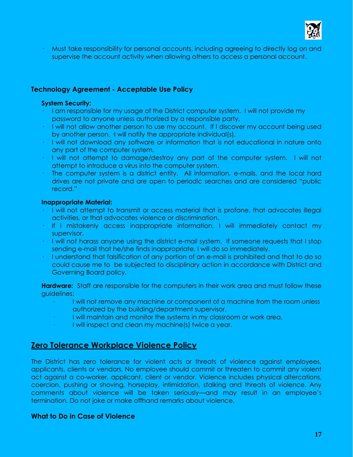

· Must take responsibility for personal accounts, including agreeing to directly log on and supervise the account activity when allowing others to access a personal account.

# **Technology Agreement - Acceptable Use Policy**

#### **System Security:**

- · I am responsible for my usage of the District computer system. I will not provide my password to anyone unless authorized by a responsible party.
- · I will not allow another person to use my account. If I discover my account being used by another person, ·I will notify the appropriate individual(s).
- · I will not download any software or information that is not educational in nature onto any part of the computer system.
- · I will not attempt to damage/destroy any part of the computer system. I will not attempt to introduce a virus into the computer system.
- · The computer system is a district entity. All information, e-mails, and the local hard drives are not private and are open to periodic searches and are considered "public record."

#### **Inappropriate Material:**

- · I will not attempt to transmit or access material that is profane, that advocates illegal activities, or that advocates violence or discrimination.
- · If I mistakenly access inappropriate information, I will immediately contact my supervisor.
- · I will not harass anyone using the district e-mail system. If someone requests that I stop sending e-mail that he/she finds inappropriate, I will do so immediately.
- · I understand that falsification of any portion of an e-mail is prohibited and that to do so could cause me to be subjected to disciplinary action in accordance with District and Governing Board policy.

**Hardware:** Staff are responsible for the computers in their work area and must follow these guidelines:

- I will not remove any machine or component of a machine from the room unless authorized by the building/department supervisor.
- · I will maintain and monitor the systems in my classroom or work area.
- · I will inspect and clean my machine(s) twice a year.

# **Zero Tolerance Workplace Violence Policy**

The District has zero tolerance for violent acts or threats of violence against employees, applicants, clients or vendors. No employee should commit or threaten to commit any violent act against a co-worker, applicant, client or vendor. Violence includes physical altercations, coercion, pushing or shoving, horseplay, intimidation, stalking and threats of violence. Any comments about violence will be taken seriously—and may result in an employee's termination. Do not joke or make offhand remarks about violence.

# **What to Do in Case of Violence**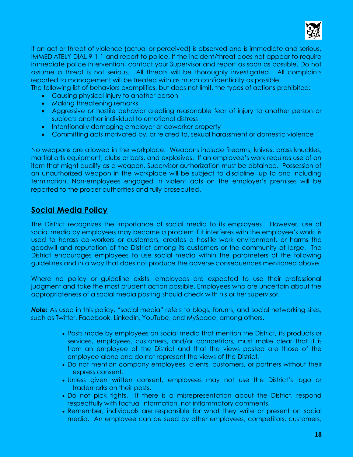

If an act or threat of violence (actual or perceived) is observed and is immediate and serious, IMMEDIATELY DIAL 9-1-1 and report to police. If the incident/threat does not appear to require immediate police intervention, contact your Supervisor and report as soon as possible. Do not assume a threat is not serious. All threats will be thoroughly investigated. All complaints reported to management will be treated with as much confidentiality as possible.

The following list of behaviors exemplifies, but does not limit, the types of actions prohibited:

- Causing physical injury to another person
- Making threatening remarks
- Aggressive or hostile behavior creating reasonable fear of injury to another person or subjects another individual to emotional distress
- Intentionally damaging employer or coworker property
- Committing acts motivated by, or related to, sexual harassment or domestic violence

No weapons are allowed in the workplace. Weapons include firearms, knives, brass knuckles, martial arts equipment, clubs or bats, and explosives. If an employee's work requires use of an item that might qualify as a weapon, Supervisor authorization must be obtained. Possession of an unauthorized weapon in the workplace will be subject to discipline, up to and including termination. Non-employees engaged in violent acts on the employer's premises will be reported to the proper authorities and fully prosecuted.

# **Social Media Policy**

The District recognizes the importance of social media to its employees. However, use of social media by employees may become a problem if it interferes with the employee's work, is used to harass co-workers or customers, creates a hostile work environment, or harms the goodwill and reputation of the District among its customers or the community at large. The District encourages employees to use social media within the parameters of the following guidelines and in a way that does not produce the adverse consequences mentioned above.

Where no policy or guideline exists, employees are expected to use their professional judgment and take the most prudent action possible. Employees who are uncertain about the appropriateness of a social media posting should check with his or her supervisor.

**Note:** As used in this policy, "social media" refers to blogs, forums, and social networking sites, such as Twitter, Facebook, LinkedIn, YouTube, and MySpace, among others.

- Posts made by employees on social media that mention the District*,* its products or services, employees, customers, and/or competitors, must make clear that it is from an employee of the District and that the views posted are those of the employee alone and do not represent the views of the District*.*
- Do not mention company employees, clients, customers, or partners without their express consent.
- Unless given written consent, employees may not use the District's logo or trademarks on their posts.
- Do not pick fights. If there is a misrepresentation about the District, respond respectfully with factual information, not inflammatory comments.
- Remember, individuals are responsible for what they write or present on social media. An employee can be sued by other employees, competitors, customers,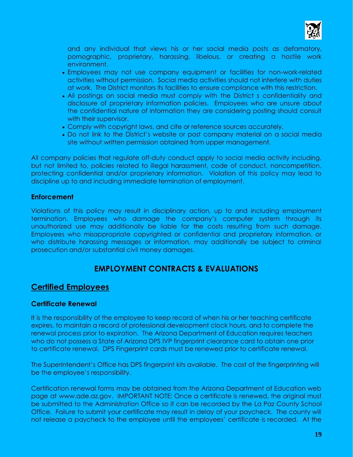

and any individual that views his or her social media posts as defamatory, pornographic, proprietary, harassing, libelous, or creating a hostile work environment.

- Employees may not use company equipment or facilities for non-work-related activities without permission. Social media activities should not interfere with duties at work. The District monitors its facilities to ensure compliance with this restriction.
- All postings on social media must comply with the District *s* confidentiality and disclosure of proprietary information policies. Employees who are unsure about the confidential nature of information they are considering posting should consult with their supervisor.
- Comply with copyright laws, and cite or reference sources accurately.
- Do not link to the District's website or post company material on a social media site without written permission obtained from upper management.

All company policies that regulate off-duty conduct apply to social media activity including, but not limited to, policies related to illegal harassment, code of conduct, noncompetition, protecting confidential and/or proprietary information. Violation of this policy may lead to discipline up to and including immediate termination of employment.

# **Enforcement**

Violations of this policy may result in disciplinary action, up to and including employment termination. Employees who damage the company's computer system through its unauthorized use may additionally be liable for the costs resulting from such damage. Employees who misappropriate copyrighted or confidential and proprietary information, or who distribute harassing messages or information, may additionally be subject to criminal prosecution and/or substantial civil money damages.

# **EMPLOYMENT CONTRACTS & EVALUATIONS**

# **Certified Employees**

# **Certificate Renewal**

It is the responsibility of the employee to keep record of when his or her teaching certificate expires, to maintain a record of professional development clock hours, and to complete the renewal process prior to expiration. The Arizona Department of Education requires teachers who do not possess a State of Arizona DPS IVP fingerprint clearance card to obtain one prior to certificate renewal. DPS Fingerprint cards must be renewed prior to certificate renewal.

The Superintendent's Office has DPS fingerprint kits available. The cost of the fingerprinting will be the employee's responsibility.

Certification renewal forms may be obtained from the Arizona Department of Education web page at [www.ade.az.gov.](http://www.ade.az.gov/) IMPORTANT NOTE: Once a certificate is renewed, the original must be submitted to the Administration Office so it can be recorded by the La Paz County School Office. Failure to submit your certificate may result in delay of your paycheck. The county will not release a paycheck to the employee until the employees' certificate is recorded. At the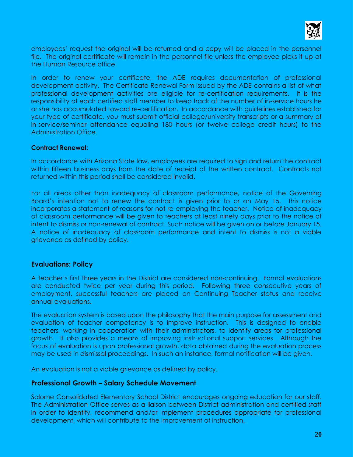

employees' request the original will be returned and a copy will be placed in the personnel file. The original certificate will remain in the personnel file unless the employee picks it up at the Human Resource office.

In order to renew your certificate, the ADE requires documentation of professional development activity. The Certificate Renewal Form issued by the ADE contains a list of what professional development activities are eligible for re-certification requirements. It is the responsibility of each certified staff member to keep track of the number of in-service hours he or she has accumulated toward re-certification. In accordance with guidelines established for your type of certificate, you must submit official college/university transcripts or a summary of in-service/seminar attendance equaling 180 hours (or twelve college credit hours) to the Administration Office.

#### **Contract Renewal:**

In accordance with Arizona State law, employees are required to sign and return the contract within fifteen business days from the date of receipt of the written contract. Contracts not returned within this period shall be considered invalid.

For all areas other than inadequacy of classroom performance, notice of the Governing Board's intention not to renew the contract is given prior to or on May 15. This notice incorporates a statement of reasons for not re-employing the teacher. Notice of inadequacy of classroom performance will be given to teachers at least ninety days prior to the notice of intent to dismiss or non-renewal of contract. Such notice will be given on or before January 15. A notice of inadequacy of classroom performance and intent to dismiss is not a viable grievance as defined by policy.

#### **Evaluations: Policy**

A teacher's first three years in the District are considered non-continuing. Formal evaluations are conducted twice per year during this period. Following three consecutive years of employment, successful teachers are placed on Continuing Teacher status and receive annual evaluations.

The evaluation system is based upon the philosophy that the main purpose for assessment and evaluation of teacher competency is to improve instruction. This is designed to enable teachers, working in cooperation with their administrators, to identify areas for professional growth. It also provides a means of improving instructional support services. Although the focus of evaluation is upon professional growth, data obtained during the evaluation process may be used in dismissal proceedings. In such an instance, formal notification will be given.

An evaluation is not a viable grievance as defined by policy.

#### **Professional Growth – Salary Schedule Movement**

Salome Consolidated Elementary School District encourages ongoing education for our staff. The Administration Office serves as a liaison between District administration and certified staff in order to identify, recommend and/or implement procedures appropriate for professional development, which will contribute to the improvement of instruction.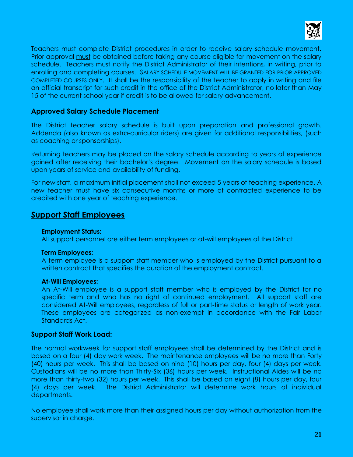

Teachers must complete District procedures in order to receive salary schedule movement. Prior approval must be obtained before taking any course eligible for movement on the salary schedule. Teachers must notify the District Administrator of their intentions, in writing, prior to enrolling and completing courses. SALARY SCHEDULE MOVEMENT WILL BE GRANTED FOR PRIOR APPROVED COMPLETED COURSES ONLY. It shall be the responsibility of the teacher to apply in writing and file an official transcript for such credit in the office of the District Administrator, no later than May 15 of the current school year if credit is to be allowed for salary advancement.

# **Approved Salary Schedule Placement**

The District teacher salary schedule is built upon preparation and professional growth. Addenda (also known as extra-curricular riders) are given for additional responsibilities, (such as coaching or sponsorships).

Returning teachers may be placed on the salary schedule according to years of experience gained after receiving their bachelor's degree. Movement on the salary schedule is based upon years of service and availability of funding.

For new staff, a maximum initial placement shall not exceed 5 years of teaching experience. A new teacher must have six consecutive months or more of contracted experience to be credited with one year of teaching experience.

# **Support Staff Employees**

#### **Employment Status:**

All support personnel are either term employees or at-will employees of the District.

#### **Term Employees:**

A term employee is a support staff member who is employed by the District pursuant to a written contract that specifies the duration of the employment contract.

#### **At-Will Employees:**

An At-Will employee is a support staff member who is employed by the District for no specific term and who has no right of continued employment. All support staff are considered At-Will employees, regardless of full or part-time status or length of work year. These employees are categorized as non-exempt in accordance with the Fair Labor Standards Act.

#### **Support Staff Work Load:**

The normal workweek for support staff employees shall be determined by the District and is based on a four (4) day work week. The maintenance employees will be no more than Forty (40) hours per week. This shall be based on nine (10) hours per day, four (4) days per week. Custodians will be no more than Thirty-Six (36) hours per week. Instructional Aides will be no more than thirty-two (32) hours per week. This shall be based on eight (8) hours per day, four (4) days per week. The District Administrator will determine work hours of individual departments.

No employee shall work more than their assigned hours per day without authorization from the supervisor in charge.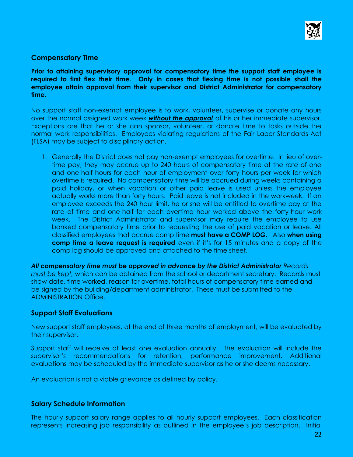

# **Compensatory Time**

**Prior to attaining supervisory approval for compensatory time the support staff employee is required to first flex their time. Only in cases that flexing time is not possible shall the employee attain approval from their supervisor and District Administrator for compensatory time.** 

No support staff non-exempt employee is to work, volunteer, supervise or donate any hours over the normal assigned work week *without the approval* of his or her immediate supervisor. Exceptions are that he or she can sponsor, volunteer, or donate time to tasks outside the normal work responsibilities. Employees violating regulations of the Fair Labor Standards Act (FLSA) may be subject to disciplinary action.

1. Generally the District does not pay non-exempt employees for overtime. In lieu of overtime pay, they may accrue up to 240 hours of compensatory time at the rate of one and one-half hours for each hour of employment over forty hours per week for which overtime is required. No compensatory time will be accrued during weeks containing a paid holiday, or when vacation or other paid leave is used unless the employee actually works more than forty hours. Paid leave is not included in the workweek. If an employee exceeds the 240 hour limit, he or she will be entitled to overtime pay at the rate of time and one-half for each overtime hour worked above the forty-hour work week. The District Administrator and supervisor may require the employee to use banked compensatory time prior to requesting the use of paid vacation or leave. All classified employees that accrue comp time **must have a COMP LOG.** Also **when using comp time a leave request is required** even if it's for 15 minutes and a copy of the comp log should be approved and attached to the time sheet.

*All compensatory time must be approved in advance by the District Administrator Records must be kept,* which can be obtained from the school or department secretary. Records must show date, time worked, reason for overtime, total hours of compensatory time earned and be signed by the building/department administrator. These must be submitted to the ADMINISTRATION Office.

#### **Support Staff Evaluations**

New support staff employees, at the end of three months of employment, will be evaluated by their supervisor.

Support staff will receive at least one evaluation annually. The evaluation will include the supervisor's recommendations for retention, performance improvement. Additional evaluations may be scheduled by the immediate supervisor as he or she deems necessary.

An evaluation is not a viable grievance as defined by policy.

#### **Salary Schedule Information**

The hourly support salary range applies to all hourly support employees. Each classification represents increasing job responsibility as outlined in the employee's job description. Initial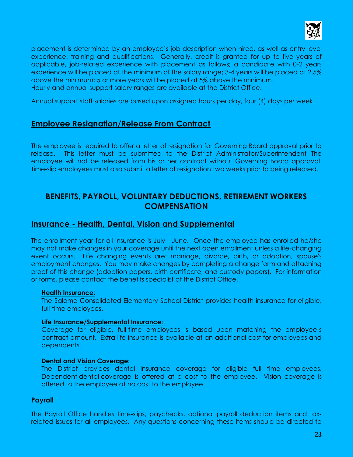

placement is determined by an employee's job description when hired, as well as entry-level experience, training and qualifications. Generally, credit is granted for up to five years of applicable, job-related experience with placement as follows; a candidate with 0-2 years experience will be placed at the minimum of the salary range; 3-4 years will be placed at 2.5% above the minimum; 5 or more years will be placed at 5% above the minimum. Hourly and annual support salary ranges are available at the District Office.

Annual support staff salaries are based upon assigned hours per day, four (4) days per week.

# **Employee Resignation/Release From Contract**

The employee is required to offer a letter of resignation for Governing Board approval prior to release. This letter must be submitted to the District Administrator/Superintendent The employee will not be released from his or her contract without Governing Board approval. Time-slip employees must also submit a letter of resignation two weeks prior to being released.

# **BENEFITS, PAYROLL, VOLUNTARY DEDUCTIONS, RETIREMENT WORKERS COMPENSATION**

# **Insurance - Health, Dental, Vision and Supplemental**

The enrollment year for all insurance is July - June. Once the employee has enrolled he/she may not make changes in your coverage until the next open enrollment unless a life-changing event occurs. Life changing events are: marriage, divorce, birth, or adoption, spouse's employment changes. You may make changes by completing a change form and attaching proof of this change (adoption papers, birth certificate, and custody papers). For information or forms, please contact the benefits specialist at the District Office.

#### **Health Insurance:**

The Salome Consolidated Elementary School District provides health insurance for eligible, full-time employees.

#### **Life Insurance/Supplemental Insurance:**

Coverage for eligible, full-time employees is based upon matching the employee's contract amount. Extra life insurance is available at an additional cost for employees and dependents.

#### **Dental and Vision Coverage:**

The District provides dental insurance coverage for eligible full time employees. Dependent dental coverage is offered at a cost to the employee. Vision coverage is offered to the employee at no cost to the employee.

# **Payroll**

The Payroll Office handles time-slips, paychecks, optional payroll deduction items and taxrelated issues for all employees. Any questions concerning these items should be directed to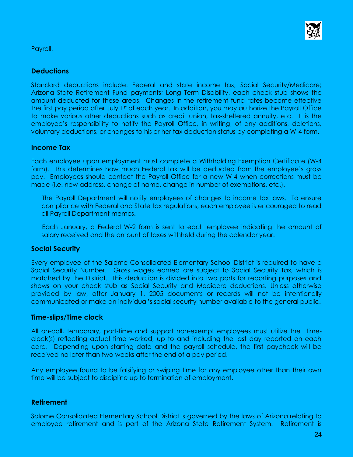

Payroll.

# **Deductions**

Standard deductions include: Federal and state income tax; Social Security/Medicare; Arizona State Retirement Fund payments; Long Term Disability, each check stub shows the amount deducted for these areas. Changes in the retirement fund rates become effective the first pay period after July 1<sup>st</sup> of each year. In addition, you may authorize the Payroll Office to make various other deductions such as credit union, tax-sheltered annuity, etc. It is the employee's responsibility to notify the Payroll Office, in writing, of any additions, deletions, voluntary deductions, or changes to his or her tax deduction status by completing a W-4 form.

# **Income Tax**

Each employee upon employment must complete a Withholding Exemption Certificate (W-4 form). This determines how much Federal tax will be deducted from the employee's gross pay. Employees should contact the Payroll Office for a new W-4 when corrections must be made (i.e. new address, change of name, change in number of exemptions, etc.).

The Payroll Department will notify employees of changes to income tax laws. To ensure compliance with Federal and State tax regulations, each employee is encouraged to read all Payroll Department memos.

Each January, a Federal W-2 form is sent to each employee indicating the amount of salary received and the amount of taxes withheld during the calendar year.

# **Social Security**

Every employee of the Salome Consolidated Elementary School District is required to have a Social Security Number. Gross wages earned are subject to Social Security Tax, which is matched by the District. This deduction is divided into two parts for reporting purposes and shows on your check stub as Social Security and Medicare deductions. Unless otherwise provided by law, after January 1, 2005 documents or records will not be intentionally communicated or make an individual's social security number available to the general public.

# **Time-slips/Time clock**

All on-call, temporary, part-time and support non-exempt employees must utilize the timeclock(s) reflecting actual time worked, up to and including the last day reported on each card. Depending upon starting date and the payroll schedule, the first paycheck will be received no later than two weeks after the end of a pay period.

Any employee found to be falsifying or swiping time for any employee other than their own time will be subject to discipline up to termination of employment.

# **Retirement**

Salome Consolidated Elementary School District is governed by the laws of Arizona relating to employee retirement and is part of the Arizona State Retirement System. Retirement is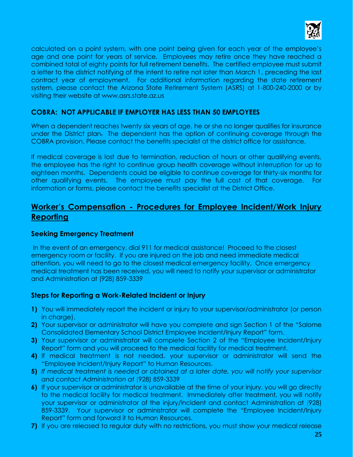

calculated on a point system, with one point being given for each year of the employee's age and one point for years of service. Employees may retire once they have reached a combined total of eighty points for full retirement benefits. The certified employee must submit a letter to the district notifying of the intent to retire not later than March 1, preceding the last contract year of employment. For additional information regarding the state retirement system, please contact the Arizona State Retirement System (ASRS) at 1-800-240-2000 or by visiting their website at [www.asrs.state.az.us](http://www.asrs.state.az.us/)

# **COBRA: NOT APPLICABLE IF EMPLOYER HAS LESS THAN 50 EMPLOYEES**

When a dependent reaches twenty six years of age, he or she no longer qualifies for insurance under the District plan. The dependent has the option of continuing coverage through the COBRA provision. Please contact the benefits specialist at the district office for assistance.

If medical coverage is lost due to termination, reduction of hours or other qualifying events, the employee has the right to continue group health coverage without interruption for up to eighteen months. Dependents could be eligible to continue coverage for thirty-six months for other qualifying events. The employee must pay the full cost of that coverage. For information or forms, please contact the benefits specialist at the District Office.

# **Worker's Compensation - Procedures for Employee Incident/Work Injury Reporting**

# **Seeking Emergency Treatment**

In the event of an emergency, dial 911 for medical assistance! Proceed to the closest emergency room or facility. If you are injured on the job and need immediate medical attention, you will need to go to the closest medical emergency facility. Once emergency medical treatment has been received, you will need to notify your supervisor or administrator and Administration at (928) 859-3339

# **Steps for Reporting a Work-Related Incident or Injury**

- **1)** You will immediately report the incident or injury to your supervisor/administrator (or person in charge).
- **2)** Your supervisor or administrator will have you complete and sign Section 1 of the "Salome Consolidated Elementary School District Employee Incident/Injury Report" form.
- **3)** Your supervisor or administrator will complete Section 2 of the "Employee Incident/Injury Report" form and you will proceed to the medical facility for medical treatment.
- **4)** If medical treatment is not needed, your supervisor or administrator will send the "Employee Incident/Injury Report" to Human Resources.
- **5)** *If medical treatment is needed or obtained at a later date, you will notify your supervisor and contact Administration at* (928) 859-3339
- **6)** If your supervisor or administrator is unavailable at the time of your injury, you will go directly to the medical facility for medical treatment. Immediately after treatment, you will notify your supervisor or administrator of the injury/incident and contact Administration at (928) 859-3339. Your supervisor or administrator will complete the "Employee Incident/Injury Report" form and forward it to Human Resources.
- **7)** If you are released to regular duty with no restrictions, you must show your medical release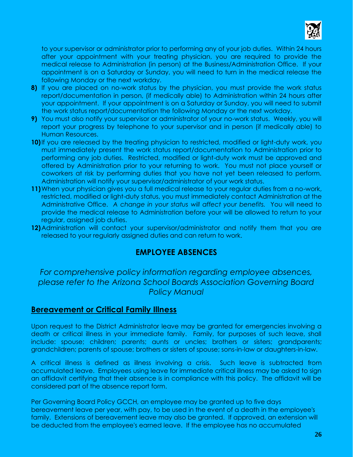

to your supervisor or administrator prior to performing any of your job duties. Within 24 hours after your appointment with your treating physician, you are required to provide the medical release to Administration (in person) at the Business/Administration Office. If your appointment is on a Saturday or Sunday, you will need to turn in the medical release the following Monday or the next workday.

- **8)** If you are placed on no-work status by the physician, you must provide the work status report/documentation in person, (if medically able) to Administration within 24 hours after your appointment. If your appointment is on a Saturday or Sunday, you will need to submit the work status report/documentation the following Monday or the next workday.
- **9)** You must also notify your supervisor or administrator of your no-work status. Weekly, you will report your progress by telephone to your supervisor and in person (if medically able) to Human Resources.
- **10)** If you are released by the treating physician to restricted, modified or light-duty work, you must immediately present the work status report/documentation to Administration prior to performing any job duties. Restricted, modified or light-duty work must be approved and offered by Administration prior to your returning to work. You must not place yourself or coworkers at risk by performing duties that you have not yet been released to perform. Administration will notify your supervisor/administrator of your work status.
- **11)**When your physician gives you a full medical release to your regular duties from a no-work, restricted, modified or light-duty status, you must immediately contact Administration at the Administrative Office. *A change in your status will affect your benefits.* You will need to provide the medical release to Administration before your will be allowed to return to your regular, assigned job duties.
- **12)**Administration will contact your supervisor/administrator and notify them that you are released to your regularly assigned duties and can return to work.

# **EMPLOYEE ABSENCES**

*For comprehensive policy information regarding employee absences, please refer to the Arizona School Boards Association Governing Board Policy Manual*

# **Bereavement or Critical Family Illness**

Upon request to the District Administrator leave may be granted for emergencies involving a death or critical illness in your immediate family. Family, for purposes of such leave, shall include: spouse; children; parents; aunts or uncles; brothers or sisters; grandparents; grandchildren; parents of spouse; brothers or sisters of spouse; sons-in-law or daughters-in-law.

A critical illness is defined as illness involving a crisis. Such leave is subtracted from accumulated leave. Employees using leave for immediate critical illness may be asked to sign an affidavit certifying that their absence is in compliance with this policy. The affidavit will be considered part of the absence report form.

Per Governing Board Policy GCCH, an employee may be granted up to five days bereavement leave per year, with pay, to be used in the event of a death in the employee's family. Extensions of bereavement leave may also be granted. If approved, an extension will be deducted from the employee's earned leave. If the employee has no accumulated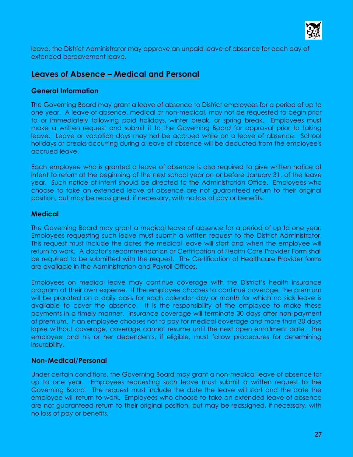

leave, the District Administrator may approve an unpaid leave of absence for each day of extended bereavement leave.

# **Leaves of Absence – Medical and Personal**

# **General Information**

The Governing Board may grant a leave of absence to District employees for a period of up to one year.A leave of absence, medical or non-medical, may not be requested to begin prior to or immediately following paid holidays, winter break, or spring break. Employees must make a written request and submit it to the Governing Board for approval prior to taking leave. Leave or vacation days may not be accrued while on a leave of absence. School holidays or breaks occurring during a leave of absence will be deducted from the employee's accrued leave.

Each employee who is granted a leave of absence is also required to give written notice of intent to return at the beginning of the next school year on or before January 31, of the leave year. Such notice of intent should be directed to the Administration Office. Employees who choose to take an extended leave of absence are not guaranteed return to their original position, but may be reassigned, if necessary, with no loss of pay or benefits.

# **Medical**

The Governing Board may grant a medical leave of absence for a period of up to one year. Employees requesting such leave must submit a written request to the District Administrator. This request must include the dates the medical leave will start and when the employee will return to work. A doctor's recommendation or Certification of Health Care Provider Form shall be required to be submitted with the request. The Certification of Healthcare Provider forms are available in the Administration and Payroll Offices.

Employees on medical leave may continue coverage with the District's health insurance program at their own expense. If the employee chooses to continue coverage, the premium will be prorated on a daily basis for each calendar day or month for which no sick leave is available to cover the absence. It is the responsibility of the employee to make these payments in a timely manner. Insurance coverage will terminate 30 days after non-payment of premium. If an employee chooses not to pay for medical coverage and more than 30 days lapse without coverage, coverage cannot resume until the next open enrollment date. The employee and his or her dependents, if eligible, must follow procedures for determining insurability.

# **Non-Medical/Personal**

Under certain conditions, the Governing Board may grant a non-medical leave of absence for up to one year. Employees requesting such leave must submit a written request to the Governing Board. The request must include the date the leave will start and the date the employee will return to work. Employees who choose to take an extended leave of absence are not guaranteed return to their original position, but may be reassigned, if necessary, with no loss of pay or benefits.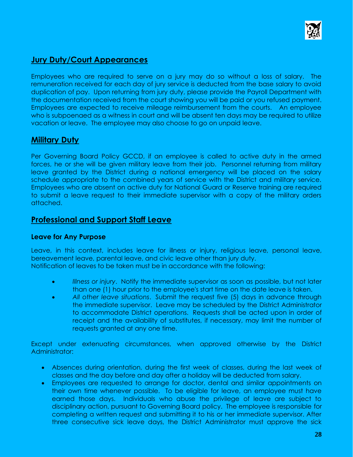

# **Jury Duty/Court Appearances**

Employees who are required to serve on a jury may do so without a loss of salary. The remuneration received for each day of jury service is deducted from the base salary to avoid duplication of pay. Upon returning from jury duty, please provide the Payroll Department with the documentation received from the court showing you will be paid or you refused payment. Employees are expected to receive mileage reimbursement from the courts. An employee who is subpoenaed as a witness in court and will be absent ten days may be required to utilize vacation or leave. The employee may also choose to go on unpaid leave.

# **Military Duty**

Per Governing Board Policy GCCD, if an employee is called to active duty in the armed forces, he or she will be given military leave from their job. Personnel returning from military leave granted by the District during a national emergency will be placed on the salary schedule appropriate to the combined years of service with the District and military service. Employees who are absent on active duty for National Guard or Reserve training are required to submit a leave request to their immediate supervisor with a copy of the military orders attached.

# **Professional and Support Staff Leave**

# **Leave for Any Purpose**

Leave, in this context, includes leave for illness or injury, religious leave, personal leave, bereavement leave, parental leave, and civic leave other than jury duty. Notification of leaves to be taken must be in accordance with the following:

- *Illness or injury*. Notify the immediate supervisor as soon as possible, but not later than one (1) hour prior to the employee's start time on the date leave is taken.
- *All other leave situations*. Submit the request five (5) days in advance through the immediate supervisor. Leave may be scheduled by the District Administrator to accommodate District operations. Requests shall be acted upon in order of receipt and the availability of substitutes, if necessary, may limit the number of requests granted at any one time.

Except under extenuating circumstances, when approved otherwise by the District Administrator:

- Absences during orientation, during the first week of classes, during the last week of classes and the day before and day after a holiday will be deducted from salary.
- Employees are requested to arrange for doctor, dental and similar appointments on their own time whenever possible. To be eligible for leave, an employee must have earned those days. Individuals who abuse the privilege of leave are subject to disciplinary action, pursuant to Governing Board policy. The employee is responsible for completing a written request and submitting it to his or her immediate supervisor. After three consecutive sick leave days, the District Administrator must approve the sick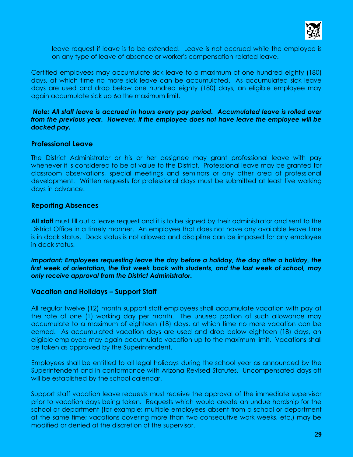

leave request if leave is to be extended. Leave is not accrued while the employee is on any type of leave of absence or worker's compensation-related leave.

Certified employees may accumulate sick leave to a maximum of one hundred eighty (180) days, at which time no more sick leave can be accumulated. As accumulated sick leave days are used and drop below one hundred eighty (180) days, an eligible employee may again accumulate sick up 6o the maximum limit.

*Note: All staff leave is accrued in hours every pay period. Accumulated leave is rolled over from the previous year. However, if the employee does not have leave the employee will be docked pay.* 

# **Professional Leave**

The District Administrator or his or her designee may grant professional leave with pay whenever it is considered to be of value to the District. Professional leave may be granted for classroom observations, special meetings and seminars or any other area of professional development. Written requests for professional days must be submitted at least five working days in advance.

# **Reporting Absences**

**All staff** must fill out a leave request and it is to be signed by their administrator and sent to the District Office in a timely manner. An employee that does not have any available leave time is in dock status. Dock status is not allowed and discipline can be imposed for any employee in dock status.

*Important: Employees requesting leave the day before a holiday, the day after a holiday, the first week of orientation, the first week back with students, and the last week of school, may only receive approval from the District Administrator.* 

# **Vacation and Holidays – Support Staff**

All regular twelve (12) month support staff employees shall accumulate vacation with pay at the rate of one (1) working day per month. The unused portion of such allowance may accumulate to a maximum of eighteen (18) days, at which time no more vacation can be earned. As accumulated vacation days are used and drop below eighteen (18) days, an eligible employee may again accumulate vacation up to the maximum limit. Vacations shall be taken as approved by the Superintendent.

Employees shall be entitled to all legal holidays during the school year as announced by the Superintendent and in conformance with Arizona Revised Statutes. Uncompensated days off will be established by the school calendar.

Support staff vacation leave requests must receive the approval of the immediate supervisor prior to vacation days being taken. Requests which would create an undue hardship for the school or department (for example: multiple employees absent from a school or department at the same time; vacations covering more than two consecutive work weeks, etc.) may be modified or denied at the discretion of the supervisor.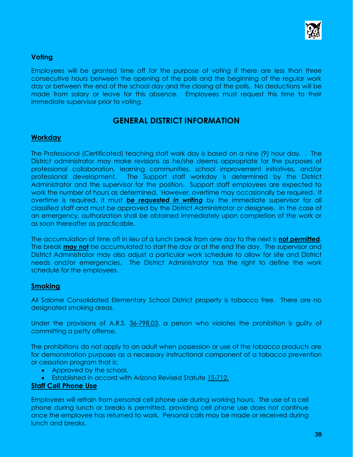

# **Voting**

Employees will be granted time off for the purpose of voting if there are less than three consecutive hours between the opening of the polls and the beginning of the regular work day or between the end of the school day and the closing of the polls. No deductions will be made from salary or leave for this absence. Employees must request this time to their immediate supervisor prior to voting.

# **GENERAL DISTRICT INFORMATION**

# **Workday**

The Professional (Certificated) teaching staff work day is based on a nine (9) hour day. . The District administrator may make revisions as he/she deems appropriate for the purposes of professional collaboration, learning communities, school improvement initiatives, and/or professional development. The Support staff workday is determined by the District Administrator and the supervisor for the position. Support staff employees are expected to work the number of hours as determined. However, overtime may occasionally be required. If overtime is required, it must *be requested in writing* by the immediate supervisor for all classified staff and must be approved by the District Administrator or designee. In the case of an emergency, authorization shall be obtained immediately upon completion of the work or as soon thereafter as practicable.

The accumulation of time off in lieu of a lunch break from one day to the next is **not permitted**. The break **may not** be accumulated to start the day or at the end the day. The supervisor and District Administrator may also adjust a particular work schedule to allow for site and District needs and/or emergencies. The District Administrator has the right to define the work schedule for the employees.

# **Smoking**

All Salome Consolidated Elementary School District property is tobacco free. There are no designated smoking areas.

Under the provisions of A.R.S. 36-798.03, a person who violates the prohibition is guilty of committing a petty offense.

The prohibitions do not apply to an adult when possession or use of the tobacco products are for demonstration purposes as a necessary instructional component of a tobacco prevention or cessation program that is:

- Approved by the school.
- Established in accord with Arizona Revised Statute 15-712.

# **Staff Cell Phone Use**

Employees will refrain from personal cell phone use during working hours. The use of a cell phone during lunch or breaks is permitted, providing cell phone use does not continue once the employee has returned to work. Personal calls may be made or received during lunch and breaks.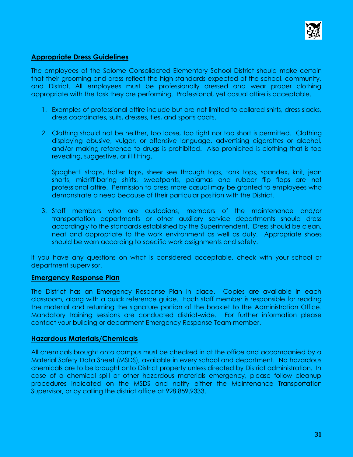

# **Appropriate Dress Guidelines**

The employees of the Salome Consolidated Elementary School District should make certain that their grooming and dress reflect the high standards expected of the school, community, and District. All employees must be professionally dressed and wear proper clothing appropriate with the task they are performing. Professional, yet casual attire is acceptable.

- 1. Examples of professional attire include but are not limited to collared shirts, dress slacks, dress coordinates, suits, dresses, ties, and sports coats.
- 2. Clothing should not be neither, too loose, too tight nor too short is permitted. Clothing displaying abusive, vulgar, or offensive language, advertising cigarettes or alcohol, and/or making reference to drugs is prohibited. Also prohibited is clothing that is too revealing, suggestive, or ill fitting.

Spaghetti straps, halter tops, sheer see through tops, tank tops, spandex, knit, jean shorts, midriff-baring shirts, sweatpants, pajamas and rubber flip flops are not professional attire. Permission to dress more casual may be granted to employees who demonstrate a need because of their particular position with the District.

3. Staff members who are custodians, members of the maintenance and/or transportation departments or other auxiliary service departments should dress accordingly to the standards established by the Superintendent. Dress should be clean, neat and appropriate to the work environment as well as duty. Appropriate shoes should be worn according to specific work assignments and safety.

If you have any questions on what is considered acceptable, check with your school or department supervisor.

#### **Emergency Response Plan**

The District has an Emergency Response Plan in place. Copies are available in each classroom, along with a quick reference guide. Each staff member is responsible for reading the material and returning the signature portion of the booklet to the Administration Office. Mandatory training sessions are conducted district-wide. For further information please contact your building or department Emergency Response Team member.

#### **Hazardous Materials/Chemicals**

All chemicals brought onto campus must be checked in at the office and accompanied by a Material Safety Data Sheet (MSDS), available in every school and department. No hazardous chemicals are to be brought onto District property unless directed by District administration. In case of a chemical spill or other hazardous materials emergency, please follow cleanup procedures indicated on the MSDS and notify either the Maintenance Transportation Supervisor, or by calling the district office at 928.859.9333.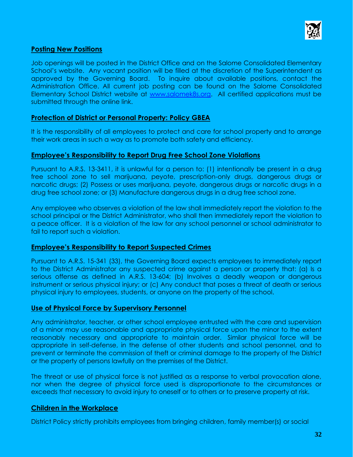

# **Posting New Positions**

Job openings will be posted in the District Office and on the Salome Consolidated Elementary School's website. Any vacant position will be filled at the discretion of the Superintendent as approved by the Governing Board. To inquire about available positions, contact the Administration Office. All current job posting can be found on the Salome Consolidated Elementary School District website at [www.salomek8s.org.](http://www.salomek8s.org/) All certified applications must be submitted through the online link.

# **Protection of District or Personal Property: Policy GBEA**

It is the responsibility of all employees to protect and care for school property and to arrange their work areas in such a way as to promote both safety and efficiency.

# **Employee's Responsibility to Report Drug Free School Zone Violations**

Pursuant to A.R.S. 13-3411, it is unlawful for a person to: (1) intentionally be present in a drug free school zone to sell marijuana, peyote, prescription-only drugs, dangerous drugs or narcotic drugs; (2) Possess or uses marijuana, peyote, dangerous drugs or narcotic drugs in a drug free school zone; or (3) Manufacture dangerous drugs in a drug free school zone.

Any employee who observes a violation of the law shall immediately report the violation to the school principal or the District Administrator, who shall then immediately report the violation to a peace officer. It is a violation of the law for any school personnel or school administrator to fail to report such a violation.

# **Employee's Responsibility to Report Suspected Crimes**

Pursuant to A.R.S. 15-341 (33), the Governing Board expects employees to immediately report to the District Administrator any suspected crime against a person or property that: (a) Is a serious offense as defined in A.R.S. 13-604; (b) Involves a deadly weapon or dangerous instrument or serious physical injury; or (c) Any conduct that poses a threat of death or serious physical injury to employees, students, or anyone on the property of the school.

# **Use of Physical Force by Supervisory Personnel**

Any administrator, teacher, or other school employee entrusted with the care and supervision of a minor may use reasonable and appropriate physical force upon the minor to the extent reasonably necessary and appropriate to maintain order. Similar physical force will be appropriate in self-defense, in the defense of other students and school personnel, and to prevent or terminate the commission of theft or criminal damage to the property of the District or the property of persons lawfully on the premises of the District.

The threat or use of physical force is not justified as a response to verbal provocation alone, nor when the degree of physical force used is disproportionate to the circumstances or exceeds that necessary to avoid injury to oneself or to others or to preserve property at risk.

# **Children in the Workplace**

District Policy strictly prohibits employees from bringing children, family member(s) or social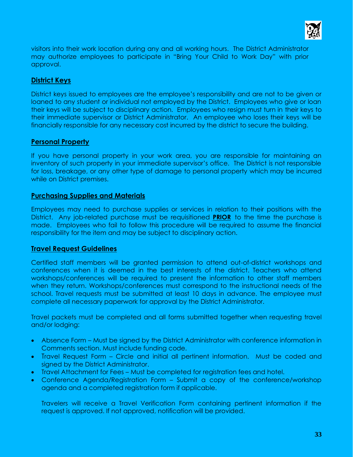

visitors into their work location during any and all working hours. The District Administrator may authorize employees to participate in "Bring Your Child to Work Day" with prior approval.

# **District Keys**

District keys issued to employees are the employee's responsibility and are not to be given or loaned to any student or individual not employed by the District. Employees who give or loan their keys will be subject to disciplinary action. Employees who resign must turn in their keys to their immediate supervisor or District Administrator. An employee who loses their keys will be financially responsible for any necessary cost incurred by the district to secure the building.

# **Personal Property**

If you have personal property in your work area, you are responsible for maintaining an inventory of such property in your immediate supervisor's office. The District is not responsible for loss, breakage, or any other type of damage to personal property which may be incurred while on District premises.

# **Purchasing Supplies and Materials**

Employees may need to purchase supplies or services in relation to their positions with the District. Any job-related purchase must be requisitioned **PRIOR** to the time the purchase is made. Employees who fail to follow this procedure will be required to assume the financial responsibility for the item and may be subject to disciplinary action.

# **Travel Request Guidelines**

Certified staff members will be granted permission to attend out-of-district workshops and conferences when it is deemed in the best interests of the district. Teachers who attend workshops/conferences will be required to present the information to other staff members when they return. Workshops/conferences must correspond to the instructional needs of the school. Travel requests must be submitted at least 10 days in advance. The employee must complete all necessary paperwork for approval by the District Administrator.

Travel packets must be completed and all forms submitted together when requesting travel and/or lodging:

- Absence Form Must be signed by the District Administrator with conference information in Comments section. Must include funding code.
- Travel Request Form Circle and initial all pertinent information. Must be coded and signed by the District Administrator.
- Travel Attachment for Fees Must be completed for registration fees and hotel.
- Conference Agenda/Registration Form Submit a copy of the conference/workshop agenda and a completed registration form if applicable.

Travelers will receive a Travel Verification Form containing pertinent information if the request is approved. If not approved, notification will be provided.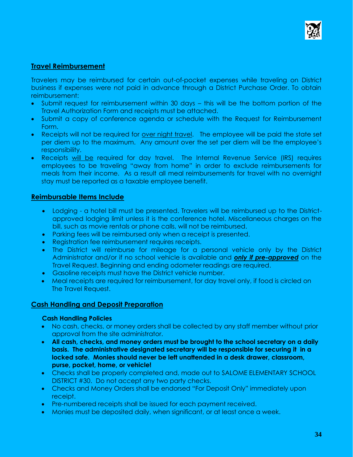

# **Travel Reimbursement**

Travelers may be reimbursed for certain out-of-pocket expenses while traveling on District business if expenses were not paid in advance through a District Purchase Order. To obtain reimbursement:

- Submit request for reimbursement within 30 days this will be the bottom portion of the Travel Authorization Form and receipts must be attached.
- Submit a copy of conference agenda or schedule with the Request for Reimbursement Form.
- Receipts will not be required for over night travel. The employee will be paid the state set per diem up to the maximum. Any amount over the set per diem will be the employee's responsibility.
- Receipts will be required for day travel. The Internal Revenue Service (IRS) requires employees to be traveling "away from home" in order to exclude reimbursements for meals from their income. As a result all meal reimbursements for travel with no overnight stay must be reported as a taxable employee benefit.

# **Reimbursable Items Include**

- Lodging a hotel bill must be presented. Travelers will be reimbursed up to the Districtapproved lodging limit unless it is the conference hotel. Miscellaneous charges on the bill, such as movie rentals or phone calls, will not be reimbursed.
- Parking fees will be reimbursed only when a receipt is presented.
- Registration fee reimbursement requires receipts.
- The District will reimburse for mileage for a personal vehicle only by the District Administrator and/or if no school vehicle is available and *only if pre-approved* on the Travel Request. Beginning and ending odometer readings are required.
- Gasoline receipts must have the District vehicle number.
- Meal receipts are required for reimbursement, for day travel only, if food is circled on The Travel Request.

# **Cash Handling and Deposit Preparation**

#### **Cash Handling Policies**

- No cash, checks, or money orders shall be collected by any staff member without prior approval from the site administrator.
- **All cash, checks, and money orders must be brought to the school secretary on a daily basis. The administrative designated secretary will be responsible for securing it in a locked safe. Monies should never be left unattended in a desk drawer, classroom, purse, pocket, home, or vehicle!**
- Checks shall be properly completed and, made out to SALOME ELEMENTARY SCHOOL DISTRICT #30. Do not accept any two party checks.
- Checks and Money Orders shall be endorsed "For Deposit Only" immediately upon receipt.
- Pre-numbered receipts shall be issued for each payment received.
- Monies must be deposited daily, when significant, or at least once a week.